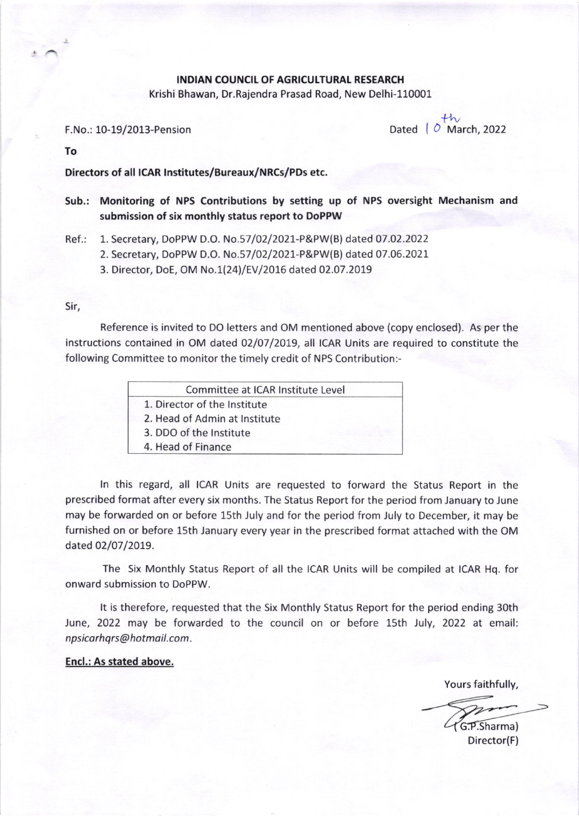## INDIAN COUNCIL OF AGRICULTURAL RESEARCH

Krishi Bhawan, Dr.Rajendra Prasad Road, New Delhi-110001

F.No.: 10-19/2013-Pension Dated  $\overline{P}$  Dated  $\overline{P}$  March, 2022

To

Directors of all lcAR lnstitutes/Bureaux/NRcs/PDs etc.

Sub.: Monitoring of NPS Contributions by setting up of NPS oversight Mechanism and submission of six monthly status report to DoPPW

Ref.: 1. Secretary, DoPPW D.O. No.57|O2|2O27-P&PW(B) dated 07.O2.2O22

2. Secretary, DoPPW D.O. No.57/02/2021-P&PW(B) dated 07.06.2021

3. Director, DoE, OM No.\2Al/EV l2ot6 dated 02.07.2019

Sir,

Reference is invited to DO letters and OM mentioned above (copy enclosed). As per the instructions contained in OM dated 02/07/2019, all ICAR Units are required to constitute the following Committee to monitor the timely credit of NPS Contribution:-

| Committee at ICAR Institute Level |  |
|-----------------------------------|--|
| 1. Director of the Institute      |  |
| 2. Head of Admin at Institute     |  |
| 3. DDO of the Institute           |  |
| 4. Head of Finance                |  |
|                                   |  |

ln this regard, all ICAR Units are requested to forward the Status Report in the prescribed format after every six months. The Status Report for the period from January to June may be forwarded on or before 15th July and for the period from July to December, it may be furnished on or before 15th January every year in the prescribed format attached with the OM dated 02/07/2019.

The Six Monthly Status Report of all the ICAR Units will be compiled at ICAR Hq. for onward submission to DoPPW.

It is therefore, requested that the Six Monthly Status Report for the period ending 30th June, 2022 may be forwarded to the council on or before 15th July, 2022 at email: npsicarhqrs@hotmail.com.

Encl.: As stated above.

Yours faithfully,

G.P.Sharma)

Director(F)